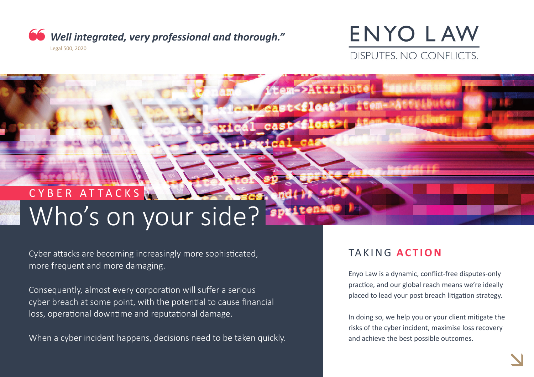

## **ENYO LAW** DISPUTES, NO CONFLICTS.

ten->Ruttibute

ast<float>

sat<float> ttem-

# CYBER ATTACKS Who's on your side?

Cyber attacks are becoming increasingly more sophisticated, more frequent and more damaging.

Consequently, almost every corporation will suffer a serious cyber breach at some point, with the potental to cause fnancial loss, operational downtime and reputational damage.

When a cyber incident happens, decisions need to be taken quickly.

## TAKING **ACTION**

Enyo Law is a dynamic, confict-free disputes-only practice, and our global reach means we're ideally placed to lead your post breach litigation strategy.

In doing so, we help you or your client mitgate the risks of the cyber incident, maximise loss recovery and achieve the best possible outcomes.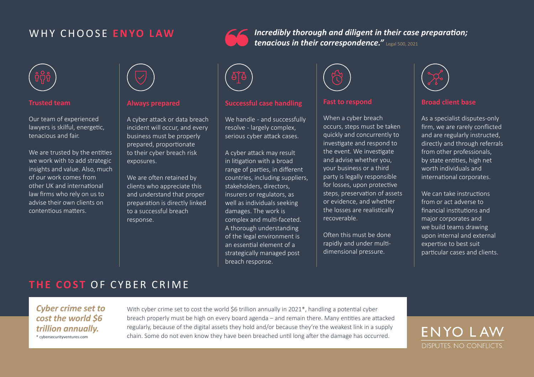## WHY CHOOSE **ENYO LAW**



#### **Trusted team**

Our team of experienced lawyers is skilful, energetic, tenacious and fair.

We are trusted by the entities we work with to add strategic insights and value. Also, much of our work comes from other UK and international law frms who rely on us to advise their own clients on contentous maters.



#### **Always prepared**

A cyber attack or data breach incident will occur, and every business must be properly prepared, proportionate to their cyber breach risk exposures.

We are often retained by clients who appreciate this and understand that proper preparaton is directly linked to a successful breach response.



#### **Successful case handling**

We handle - and successfully resolve - largely complex, serious cyber attack cases.

A cyber atack may result in litigation with a broad range of parties, in different countries, including suppliers, stakeholders, directors, insurers or regulators, as well as individuals seeking damages. The work is complex and mult-faceted. A thorough understanding of the legal environment is an essental element of a strategically managed post breach response.



*tenacious in their correspondence."* Legal 500, 2021

#### **Fast to respond**

*Incredibly thorough and diligent in their case preparaton;* 

When a cyber breach occurs, steps must be taken quickly and concurrently to investigate and respond to the event. We investigate and advise whether you, your business or a third party is legally responsible for losses, upon protective steps, preservation of assets or evidence, and whether the losses are realistically recoverable.

Often this must be done rapidly and under multidimensional pressure.



#### **Broad client base**

As a specialist disputes-only firm, we are rarely conflicted and are regularly instructed, directly and through referrals from other professionals, by state entities, high net worth individuals and international corporates.

We can take instructions from or act adverse to financial institutions and major corporates and we build teams drawing upon internal and external expertse to best suit particular cases and clients.

## **THE COST OF CYBER CRIME**

*Cyber crime set to cost the world \$6 trillion annually.* \* cybersecurityventures.com

With cyber crime set to cost the world \$6 trillion annually in 2021\*, handling a potential cyber breach properly must be high on every board agenda – and remain there. Many entities are attacked regularly, because of the digital assets they hold and/or because they're the weakest link in a supply chain. Some do not even know they have been breached until long after the damage has occurred.